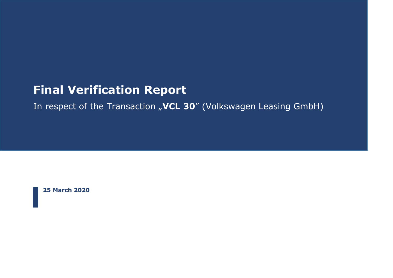# **Final Verification Report**

In respect of the Transaction "VCL 30" (Volkswagen Leasing GmbH)

**25 March 2020**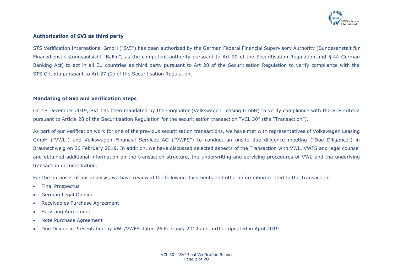

## **Authorization of SVI as third party**

STS Verification International GmbH ("SVI") has been authorized by the German Federal Financial Supervisory Authority (Bundesanstalt für Finanzdienstleistungsaufsicht "BaFin", as the competent authority pursuant to Art 29 of the Securitisation Regulation and § 44 German Banking Act) to act in all EU countries as third party pursuant to Art 28 of the Securitisation Regulation to verify compliance with the STS Criteria pursuant to Art 27 (2) of the Securitisation Regulation.

### **Mandating of SVI and verification steps**

On 18 December 2019, SVI has been mandated by the Originator (Volkswagen Leasing GmbH) to verify compliance with the STS criteria pursuant to Article 28 of the Securitisation Regulation for the securitisation transaction "VCL 30" (the "Transaction").

As part of our verification work for one of the previous securitisation transactions, we have met with representatives of Volkswagen Leasing GmbH ("VWL") and Volkswagen Financial Services AG ("VWFS") to conduct an onsite due diligence meeting ("Due Diligence") in Braunschweig on 26 February 2019. In addition, we have discussed selected aspects of the Transaction with VWL, VWFS and legal counsel and obtained additional information on the transaction structure, the underwriting and servicing procedures of VWL and the underlying transaction documentation.

For the purposes of our analysis, we have reviewed the following documents and other information related to the Transaction:

- Final Prospectus
- German Legal Opinion
- Receivables Purchase Agreement
- Servicing Agreement
- Note Purchase Agreement
- Due Diligence Presentation by VWL/VWFS dated 26 February 2019 and further updated in April 2019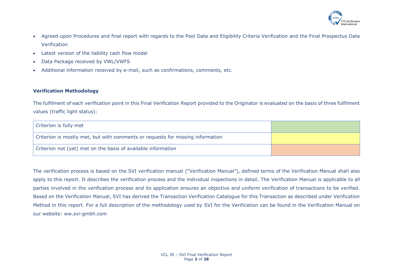

- Agreed-upon Procedures and final report with regards to the Pool Data and Eligibility Criteria Verification and the Final Prospectus Data Verification
- Latest version of the liability cash flow model
- Data Package received by VWL/VWFS
- Additional information received by e-mail, such as confirmations, comments, etc.

## **Verification Methodology**

The fulfilment of each verification point in this Final Verification Report provided to the Originator is evaluated on the basis of three fulfilment values (traffic light status):

| Criterion is fully met                                                         |  |
|--------------------------------------------------------------------------------|--|
| Criterion is mostly met, but with comments or requests for missing information |  |
| Criterion not (yet) met on the basis of available information                  |  |

The verification process is based on the SVI verification manual ("Verification Manual"), defined terms of the Verification Manual shall also apply to this report. It describes the verification process and the individual inspections in detail. The Verification Manual is applicable to all parties involved in the verification process and its application ensures an objective and uniform verification of transactions to be verified. Based on the Verification Manual, SVI has derived the Transaction Verification Catalogue for this Transaction as described under Verification Method in this report. For a full description of the methodology used by SVI for the Verification can be found in the Verification Manual on our website: ww.svi-gmbh.com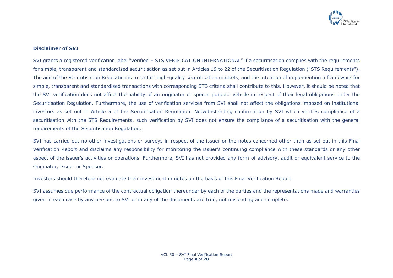

### **Disclaimer of SVI**

SVI grants a registered verification label "verified – STS VERIFICATION INTERNATIONAL" if a securitisation complies with the requirements for simple, transparent and standardised securitisation as set out in Articles 19 to 22 of the Securitisation Regulation ("STS Requirements"). The aim of the Securitisation Regulation is to restart high-quality securitisation markets, and the intention of implementing a framework for simple, transparent and standardised transactions with corresponding STS criteria shall contribute to this. However, it should be noted that the SVI verification does not affect the liability of an originator or special purpose vehicle in respect of their legal obligations under the Securitisation Regulation. Furthermore, the use of verification services from SVI shall not affect the obligations imposed on institutional investors as set out in Article 5 of the Securitisation Regulation. Notwithstanding confirmation by SVI which verifies compliance of a securitisation with the STS Requirements, such verification by SVI does not ensure the compliance of a securitisation with the general requirements of the Securitisation Regulation.

SVI has carried out no other investigations or surveys in respect of the issuer or the notes concerned other than as set out in this Final Verification Report and disclaims any responsibility for monitoring the issuer's continuing compliance with these standards or any other aspect of the issuer's activities or operations. Furthermore, SVI has not provided any form of advisory, audit or equivalent service to the Originator, Issuer or Sponsor.

Investors should therefore not evaluate their investment in notes on the basis of this Final Verification Report.

SVI assumes due performance of the contractual obligation thereunder by each of the parties and the representations made and warranties given in each case by any persons to SVI or in any of the documents are true, not misleading and complete.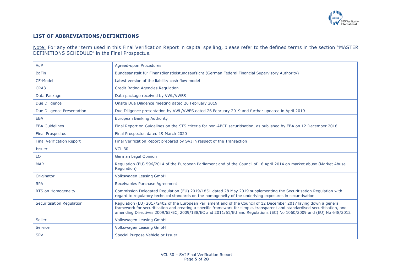

## **LIST OF ABBREVIATIONS/DEFINITIONS**

Note: For any other term used in this Final Verification Report in capital spelling, please refer to the defined terms in the section "MASTER DEFINITIONS SCHEDULE" in the Final Prospectus.

| AuP                              | Agreed-upon Procedures                                                                                                                                                                                                                                                                                                                                                |
|----------------------------------|-----------------------------------------------------------------------------------------------------------------------------------------------------------------------------------------------------------------------------------------------------------------------------------------------------------------------------------------------------------------------|
| <b>BaFin</b>                     | Bundesanstalt für Finanzdienstleistungsaufsicht (German Federal Financial Supervisory Authority)                                                                                                                                                                                                                                                                      |
| CF-Model                         | Latest version of the liability cash flow model                                                                                                                                                                                                                                                                                                                       |
| CRA3                             | <b>Credit Rating Agencies Regulation</b>                                                                                                                                                                                                                                                                                                                              |
| Data Package                     | Data package received by VWL/VWFS                                                                                                                                                                                                                                                                                                                                     |
| Due Diligence                    | Onsite Due Diligence meeting dated 26 February 2019                                                                                                                                                                                                                                                                                                                   |
| Due Diligence Presentation       | Due Diligence presentation by VWL/VWFS dated 26 February 2019 and further updated in April 2019                                                                                                                                                                                                                                                                       |
| <b>EBA</b>                       | <b>European Banking Authority</b>                                                                                                                                                                                                                                                                                                                                     |
| <b>EBA Guidelines</b>            | Final Report on Guidelines on the STS criteria for non-ABCP securitisation, as published by EBA on 12 December 2018                                                                                                                                                                                                                                                   |
| <b>Final Prospectus</b>          | Final Prospectus dated 19 March 2020                                                                                                                                                                                                                                                                                                                                  |
| <b>Final Verification Report</b> | Final Verification Report prepared by SVI in respect of the Transaction                                                                                                                                                                                                                                                                                               |
| <b>Issuer</b>                    | <b>VCL 30</b>                                                                                                                                                                                                                                                                                                                                                         |
| LO                               | German Legal Opinion                                                                                                                                                                                                                                                                                                                                                  |
| <b>MAR</b>                       | Regulation (EU) 596/2014 of the European Parliament and of the Council of 16 April 2014 on market abuse (Market Abuse<br>Regulation)                                                                                                                                                                                                                                  |
| Originator                       | Volkswagen Leasing GmbH                                                                                                                                                                                                                                                                                                                                               |
| <b>RPA</b>                       | Receivables Purchase Agreement                                                                                                                                                                                                                                                                                                                                        |
| RTS on Homogeneity               | Commission Delegated Regulation (EU) 2019/1851 dated 28 May 2019 supplementing the Securitisation Regulation with<br>regard to regulatory technical standards on the homogeneity of the underlying exposures in securitisation                                                                                                                                        |
| Securitisation Regulation        | Regulation (EU) 2017/2402 of the European Parliament and of the Council of 12 December 2017 laying down a general<br>framework for securitisation and creating a specific framework for simple, transparent and standardised securitisation, and<br>amending Directives 2009/65/EC, 2009/138/EC and 2011/61/EU and Regulations (EC) No 1060/2009 and (EU) No 648/2012 |
| Seller                           | Volkswagen Leasing GmbH                                                                                                                                                                                                                                                                                                                                               |
| Servicer                         | Volkswagen Leasing GmbH                                                                                                                                                                                                                                                                                                                                               |
| <b>SPV</b>                       | Special Purpose Vehicle or Issuer                                                                                                                                                                                                                                                                                                                                     |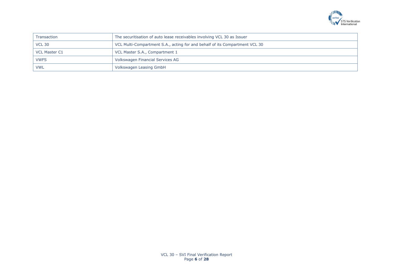

| <b>Transaction</b>   | The securitisation of auto lease receivables involving VCL 30 as Issuer     |
|----------------------|-----------------------------------------------------------------------------|
| <b>VCL 30</b>        | VCL Multi-Compartment S.A., acting for and behalf of its Compartment VCL 30 |
| <b>VCL Master C1</b> | VCL Master S.A., Compartment 1                                              |
| <b>VWFS</b>          | Volkswagen Financial Services AG                                            |
| <b>VWL</b>           | Volkswagen Leasing GmbH                                                     |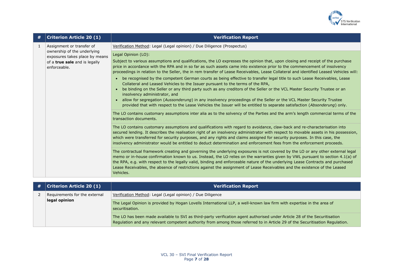

| # | <b>Criterion Article 20 (1)</b>                                                                                | <b>Verification Report</b>                                                                                                                                                                                                                                                                                                                                                                                                                                                                                                                                                                                                                                                                                                                                                                                                                                                                                                                                                                                                                                                                                                                                                                                                                                                                                                                                                                                                                                                                                                                                                                                                 |
|---|----------------------------------------------------------------------------------------------------------------|----------------------------------------------------------------------------------------------------------------------------------------------------------------------------------------------------------------------------------------------------------------------------------------------------------------------------------------------------------------------------------------------------------------------------------------------------------------------------------------------------------------------------------------------------------------------------------------------------------------------------------------------------------------------------------------------------------------------------------------------------------------------------------------------------------------------------------------------------------------------------------------------------------------------------------------------------------------------------------------------------------------------------------------------------------------------------------------------------------------------------------------------------------------------------------------------------------------------------------------------------------------------------------------------------------------------------------------------------------------------------------------------------------------------------------------------------------------------------------------------------------------------------------------------------------------------------------------------------------------------------|
| 1 | Assignment or transfer of                                                                                      | Verification Method: Legal (Legal opinion) / Due Diligence (Prospectus)                                                                                                                                                                                                                                                                                                                                                                                                                                                                                                                                                                                                                                                                                                                                                                                                                                                                                                                                                                                                                                                                                                                                                                                                                                                                                                                                                                                                                                                                                                                                                    |
|   | ownership of the underlying<br>exposures takes place by means<br>of a true sale and is legally<br>enforceable. | Legal Opinion (LO):<br>Subject to various assumptions and qualifications, the LO expresses the opinion that, upon closing and receipt of the purchase<br>price in accordance with the RPA and in so far as such assets came into existence prior to the commencement of insolvency<br>proceedings in relation to the Seller, the in rem transfer of Lease Receivables, Lease Collateral and identified Leased Vehicles will:<br>be recognised by the competent German courts as being effective to transfer legal title to such Lease Receivables, Lease<br>Collateral and Leased Vehicles to the Issuer pursuant to the terms of the RPA,<br>be binding on the Seller or any third party such as any creditors of the Seller or the VCL Master Security Trustee or an<br>insolvency administrator, and<br>allow for segregation (Aussonderung) in any insolvency proceedings of the Seller or the VCL Master Security Trustee<br>provided that with respect to the Lease Vehicles the Issuer will be entitled to separate satisfaction (Absonderung) only.<br>The LO contains customary assumptions inter alia as to the solvency of the Parties and the arm's length commercial terms of the<br>transaction documents.<br>The LO contains customary assumptions and qualifications with regard to avoidance, claw-back and re-characterisation into<br>secured lending. It describes the realisation right of an insolvency administrator with respect to movable assets in his possession,<br>which were transferred for security purposes, and any rights and claims assigned for security purposes. In this case, the |
|   |                                                                                                                | insolvency administrator would be entitled to deduct determination and enforcement fees from the enforcement proceeds.                                                                                                                                                                                                                                                                                                                                                                                                                                                                                                                                                                                                                                                                                                                                                                                                                                                                                                                                                                                                                                                                                                                                                                                                                                                                                                                                                                                                                                                                                                     |
|   |                                                                                                                | The contractual framework creating and governing the underlying exposures is not covered by the LO or any other external legal<br>memo or in-house confirmation known to us. Instead, the LO relies on the warranties given by VWL pursuant to section 4.1(a) of<br>the RPA, e.g. with respect to the legally valid, binding and enforceable nature of the underlying Lease Contracts and purchased<br>Lease Receivables, the absence of restrictions against the assignment of Lease Receivables and the existence of the Leased<br>Vehicles.                                                                                                                                                                                                                                                                                                                                                                                                                                                                                                                                                                                                                                                                                                                                                                                                                                                                                                                                                                                                                                                                             |

| # | <b>Criterion Article 20 (1)</b> | <b>Verification Report</b>                                                                                                                                                                                                                                |
|---|---------------------------------|-----------------------------------------------------------------------------------------------------------------------------------------------------------------------------------------------------------------------------------------------------------|
|   | Requirements for the external   | Verification Method: Legal (Legal opinion) / Due Diligence                                                                                                                                                                                                |
|   | legal opinion                   | The Legal Opinion is provided by Hogan Lovells International LLP, a well-known law firm with expertise in the area of<br>securitisation.                                                                                                                  |
|   |                                 | The LO has been made available to SVI as third-party verification agent authorised under Article 28 of the Securitisation<br>Regulation and any relevant competent authority from among those referred to in Article 29 of the Securitisation Regulation. |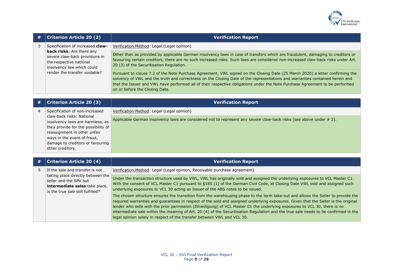

| # | <b>Criterion Article 20 (2)</b>                                                                                                                              | <b>Verification Report</b>                                                                                                                                                                                                                                                                                                                                                                                                      |
|---|--------------------------------------------------------------------------------------------------------------------------------------------------------------|---------------------------------------------------------------------------------------------------------------------------------------------------------------------------------------------------------------------------------------------------------------------------------------------------------------------------------------------------------------------------------------------------------------------------------|
|   | Specification of increased claw-                                                                                                                             | Verification Method: Legal (Legal opinion)                                                                                                                                                                                                                                                                                                                                                                                      |
|   | <b>back risks:</b> Are there any<br>severe claw-back provisions in<br>the respective national<br>insolvency law which could<br>render the transfer voidable? | Other than as provided by applicable German insolvency laws in case of transfers which are fraudulent, damaging to creditors or<br>favouring certain creditors, there are no such increased risks. Such laws are considered non-increased claw-back risks under Art.<br>20 (3) of the Securitisation Regulation.                                                                                                                |
|   |                                                                                                                                                              | Pursuant to clause 7.2 of the Note Purchase Agreement, VWL signed on the Closing Date (25 March 2020) a letter confirming the<br>solvency of VWL and the truth and correctness on the Closing Date of the representations and warranties contained herein and<br>that the Issuer and VWL have performed all of their respective obligations under the Note Purchase Agreement to be performed<br>on or before the Closing Date. |

| # | <b>Criterion Article 20 (3)</b>                               | <b>Verification Report</b>                                                                                             |
|---|---------------------------------------------------------------|------------------------------------------------------------------------------------------------------------------------|
| 4 | Specification of non-increased                                | Verification Method: Legal (Legal opinion)                                                                             |
|   | claw-back risks: National<br>insolvency laws are harmless, as | Applicable German insolvency laws are considered not to represent any severe claw-back risks (see above under $\#$ 3). |
|   | they provide for the possibility of                           |                                                                                                                        |
|   | reassignment in other unfair                                  |                                                                                                                        |
|   | ways in the event of fraud,                                   |                                                                                                                        |
|   | damage to creditors or favouring                              |                                                                                                                        |
|   | other creditors.                                              |                                                                                                                        |

| # | <b>Criterion Article 20 (4)</b>                                                                                                    | <b>Verification Report</b>                                                                                                                                                                                                                                                                                                                                                                                                                                                                                                                                                                                                                                                                                                                                                                                                                                                                                                                                                       |
|---|------------------------------------------------------------------------------------------------------------------------------------|----------------------------------------------------------------------------------------------------------------------------------------------------------------------------------------------------------------------------------------------------------------------------------------------------------------------------------------------------------------------------------------------------------------------------------------------------------------------------------------------------------------------------------------------------------------------------------------------------------------------------------------------------------------------------------------------------------------------------------------------------------------------------------------------------------------------------------------------------------------------------------------------------------------------------------------------------------------------------------|
|   | If the sale and transfer is not                                                                                                    | Verification Method: Legal (Legal opinion, Receivable purchase agreement)                                                                                                                                                                                                                                                                                                                                                                                                                                                                                                                                                                                                                                                                                                                                                                                                                                                                                                        |
|   | taking place directly between the<br>seller and the SPV but<br>intermediate sales take place,<br>is the true sale still fulfilled? | Under the transaction structure used by VWL, VWL has originally sold and assigned the underlying exposures to VCL Master C1.<br>With the consent of VCL Master C1 pursuant to §185 (1) of the German Civil Code, at Closing Date VWL sold and assigned such<br>underlying exposures to VCL 30 acting as Issuer of the ABS notes to be issued.<br>The chosen structure ensures the transition from the warehousing phase to the term take-out and allows the Seller to provide the<br>required warranties and guarantees in respect of the sold and assigned underlying exposures. Given that the Seller is the original<br>lender who sells with the prior permission ( <i>Einwilligung</i> ) of VCL Master C1 the underlying exposures to VCL 30, there is no<br>intermediate sale within the meaning of Art. 20 (4) of the Securitisation Regulation and the true sale needs to be confirmed in the<br>legal opinion solely in respect of the transfer between VWL and VCL 30. |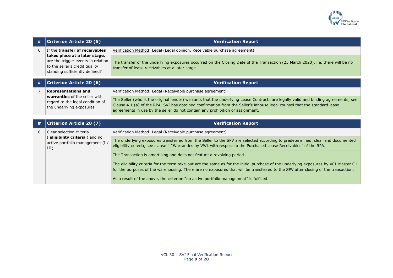

|   | <b>Criterion Article 20 (5)</b>                                                                                                         | <b>Verification Report</b>                                                                                                                                                                                                                                                                                                                      |
|---|-----------------------------------------------------------------------------------------------------------------------------------------|-------------------------------------------------------------------------------------------------------------------------------------------------------------------------------------------------------------------------------------------------------------------------------------------------------------------------------------------------|
| 6 | If the transfer of receivables                                                                                                          | Verification Method: Legal (Legal opinion, Receivable purchase agreement)                                                                                                                                                                                                                                                                       |
|   | takes place at a later stage,<br>are the trigger events in relation<br>to the seller's credit quality<br>standing sufficiently defined? | The transfer of the underlying exposures occurred on the Closing Date of the Transaction (25 March 2020), i.e. there will be no<br>transfer of lease receivables at a later stage.                                                                                                                                                              |
|   | <b>Criterion Article 20 (6)</b>                                                                                                         | <b>Verification Report</b>                                                                                                                                                                                                                                                                                                                      |
| 7 | <b>Representations and</b>                                                                                                              | Verification Method: Legal (Receivable purchase agreement)                                                                                                                                                                                                                                                                                      |
|   | warranties of the seller with<br>regard to the legal condition of<br>the underlying exposures                                           | The Seller (who is the original lender) warrants that the underlying Lease Contracts are legally valid and binding agreements, see<br>Clause 4.1 (a) of the RPA. SVI has obtained confirmation from the Seller's inhouse legal counsel that the standard lease<br>agreements in use by the seller do not contain any prohibition of assignment. |
|   |                                                                                                                                         |                                                                                                                                                                                                                                                                                                                                                 |
| # | <b>Criterion Article 20 (7)</b>                                                                                                         | <b>Verification Report</b>                                                                                                                                                                                                                                                                                                                      |
| 8 | Clear selection criteria                                                                                                                | Verification Method: Legal (Receivable purchase agreement)                                                                                                                                                                                                                                                                                      |
|   | ('eligibility criteria') and no<br>active portfolio management (I)<br>III)                                                              | The underlying exposures transferred from the Seller to the SPV are selected according to predetermined, clear and documented<br>eligibility criteria, see clause 4 "Warranties by VWL with respect to the Purchased Lease Receivables" of the RPA.                                                                                             |
|   |                                                                                                                                         | The Transaction is amortising and does not feature a revolving period.                                                                                                                                                                                                                                                                          |
|   |                                                                                                                                         | The eligibility criteria for the term take-out are the same as for the initial purchase of the underlying exposures by VCL Master C1<br>for the purposes of the warehousing. There are no exposures that will be transferred to the SPV after closing of the transaction.                                                                       |
|   |                                                                                                                                         | As a result of the above, the criterion "no active portfolio management" is fulfilled.                                                                                                                                                                                                                                                          |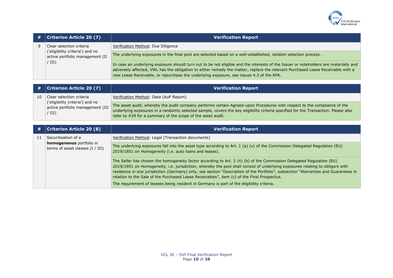

| # | <b>Criterion Article 20 (7)</b>                                    | <b>Verification Report</b>                                                                                                                                                                                                                                            |
|---|--------------------------------------------------------------------|-----------------------------------------------------------------------------------------------------------------------------------------------------------------------------------------------------------------------------------------------------------------------|
|   | Clear selection criteria                                           | Verification Method: Due Diligence                                                                                                                                                                                                                                    |
|   | ('eligibility criteria') and no<br>active portfolio management (II | The underlying exposures in the final pool are selected based on a well-established, random selection process.                                                                                                                                                        |
|   | $'$ III)                                                           | In case an underlying exposure should turn out to be not eligible and the interests of the Issuer or noteholders are materially and<br>adversely affected, VWL has the obligation to either remedy the matter, replace the relevant Purchased Lease Receivable with a |
|   |                                                                    | new Lease Receivable, or repurchase the underlying exposure, see clause 4.3 of the RPA.                                                                                                                                                                               |

| #  | $ $ Criterion Article 20 (7)                                                  | <b>Verification Report</b>                                                                                                                                                                                                                                                                                                    |
|----|-------------------------------------------------------------------------------|-------------------------------------------------------------------------------------------------------------------------------------------------------------------------------------------------------------------------------------------------------------------------------------------------------------------------------|
| 10 | Clear selection criteria                                                      | Verification Method: Data (AuP Report)                                                                                                                                                                                                                                                                                        |
|    | ('eligibility criteria') and no<br>active portfolio management (III<br>/ III) | The asset audit, whereby the audit company performs certain Agreed-upon Procedures with respect to the compliance of the<br>underlying exposures in a randomly selected sample, covers the key eligibility criteria specified for the Transaction. Please also<br>refer to #39 for a summary of the scope of the asset audit. |
|    |                                                                               |                                                                                                                                                                                                                                                                                                                               |
|    | $C_{\text{dip}}$                                                              | Vauifiantinu Daunut                                                                                                                                                                                                                                                                                                           |

| #   | <b>Criterion Article 20 (8)</b>                                                              | <b>Verification Report</b>                                                                                                                                                                                                                                                                                                                                                                                                                                                                                                                                                              |
|-----|----------------------------------------------------------------------------------------------|-----------------------------------------------------------------------------------------------------------------------------------------------------------------------------------------------------------------------------------------------------------------------------------------------------------------------------------------------------------------------------------------------------------------------------------------------------------------------------------------------------------------------------------------------------------------------------------------|
| -11 | Securitisation of a<br><b>homogeneous</b> portfolio in<br>terms of asset classes $(I / III)$ | Verification Method: Legal (Transaction documents)                                                                                                                                                                                                                                                                                                                                                                                                                                                                                                                                      |
|     |                                                                                              | The underlying exposures fall into the asset type according to Art. 1 (a) (v) of the Commission Delegated Regulation (EU)<br>2019/1851 on Homogeneity (i.e. auto loans and leases).                                                                                                                                                                                                                                                                                                                                                                                                     |
|     |                                                                                              | The Seller has chosen the homogeneity factor according to Art. 2 (4) (b) of the Commission Delegated Regulation (EU)<br>2019/1851 on Homogeneity, i.e. jurisdiction, whereby the pool shall consist of underlying exposures relating to obligors with<br>residence in one jurisdiction (Germany) only, see section "Description of the Portfolio", subsection "Warranties and Guarantees in<br>relation to the Sale of the Purchased Lease Receivables", item (c) of the Final Prospectus.<br>The requirement of lessees being resident in Germany is part of the eligibility criteria. |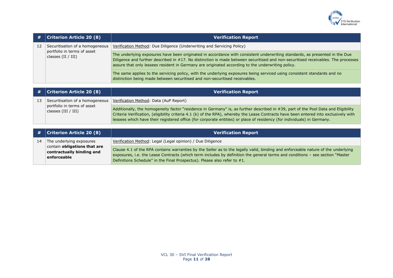

|    | <b>Criterion Article 20 (8)</b>                                          | <b>Verification Report</b>                                                                                                                                                                                                                                                                                                                                                                             |
|----|--------------------------------------------------------------------------|--------------------------------------------------------------------------------------------------------------------------------------------------------------------------------------------------------------------------------------------------------------------------------------------------------------------------------------------------------------------------------------------------------|
| 12 | Securitisation of a homogeneous                                          | Verification Method: Due Diligence (Underwriting and Servicing Policy)                                                                                                                                                                                                                                                                                                                                 |
|    | portfolio in terms of asset<br>classes $(II / III)$                      | The underlying exposures have been originated in accordance with consistent underwriting standards, as presented in the Due<br>Diligence and further described in #17. No distinction is made between securitised and non-securitised receivables. The processes<br>assure that only lessees resident in Germany are originated according to the underwriting policy.                                  |
|    |                                                                          | The same applies to the servicing policy, with the underlying exposures being serviced using consistent standards and no<br>distinction being made between securitised and non-securitised receivables.                                                                                                                                                                                                |
|    |                                                                          |                                                                                                                                                                                                                                                                                                                                                                                                        |
| #  | <b>Criterion Article 20 (8)</b>                                          | <b>Verification Report</b>                                                                                                                                                                                                                                                                                                                                                                             |
| 13 | Securitisation of a homogeneous                                          | Verification Method: Data (AuP Report)                                                                                                                                                                                                                                                                                                                                                                 |
|    | portfolio in terms of asset<br>classes $(III / III)$                     | Additionally, the homogeneity factor "residence in Germany" is, as further described in #39, part of the Pool Data and Eligibility<br>Criteria Verification, (eligibility criteria 4.1 (k) of the RPA), whereby the Lease Contracts have been entered into exclusively with<br>lessees which have their registered office (for corporate entities) or place of residency (for individuals) in Germany. |
|    |                                                                          |                                                                                                                                                                                                                                                                                                                                                                                                        |
| #  | <b>Criterion Article 20 (8)</b>                                          | <b>Verification Report</b>                                                                                                                                                                                                                                                                                                                                                                             |
| 14 | The underlying exposures                                                 | Verification Method: Legal (Legal opinion) / Due Diligence                                                                                                                                                                                                                                                                                                                                             |
|    | contain obligations that are<br>contractually binding and<br>enforceable | Clause 4.1 of the RPA contains warranties by the Seller as to the legally valid, binding and enforceable nature of the underlying<br>exposures, i.e. the Lease Contracts (which term includes by definition the general terms and conditions - see section "Master<br>Definitions Schedule" in the Final Prospectus). Please also refer to $#1$ .                                                      |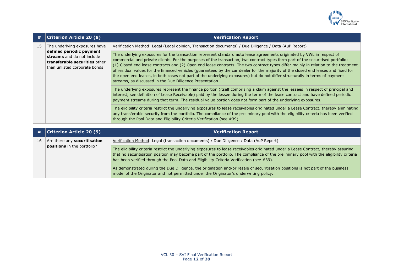

| #  | <b>Criterion Article 20 (8)</b>                                                                                                                           | <b>Verification Report</b>                                                                                                                                                                                                                                                                                                                                                                                                                                                                                                                                                                                                                                                                                                      |
|----|-----------------------------------------------------------------------------------------------------------------------------------------------------------|---------------------------------------------------------------------------------------------------------------------------------------------------------------------------------------------------------------------------------------------------------------------------------------------------------------------------------------------------------------------------------------------------------------------------------------------------------------------------------------------------------------------------------------------------------------------------------------------------------------------------------------------------------------------------------------------------------------------------------|
| 15 | The underlying exposures have<br>defined periodic payment<br>streams and do not include<br>transferable securities other<br>than unlisted corporate bonds | Verification Method: Legal (Legal opinion, Transaction documents) / Due Diligence / Data (AuP Report)                                                                                                                                                                                                                                                                                                                                                                                                                                                                                                                                                                                                                           |
|    |                                                                                                                                                           | The underlying exposures for the transaction represent standard auto lease agreements originated by VWL in respect of<br>commercial and private clients. For the purposes of the transaction, two contract types form part of the securitised portfolio:<br>(1) Closed end lease contracts and (2) Open end lease contracts. The two contract types differ mainly in relation to the treatment<br>of residual values for the financed vehicles (guaranteed by the car dealer for the majority of the closed end leases and fixed for<br>the open end leases, in both cases not part of the underlying exposures) but do not differ structurally in terms of payment<br>streams, as discussed in the Due Diligence Presentation. |
|    |                                                                                                                                                           | The underlying exposures represent the finance portion (itself comprising a claim against the lessees in respect of principal and<br>interest, see definition of Lease Receivable) paid by the lessee during the term of the lease contract and have defined periodic<br>payment streams during that term. The residual value portion does not form part of the underlying exposures.                                                                                                                                                                                                                                                                                                                                           |
|    |                                                                                                                                                           | The eligibility criteria restrict the underlying exposures to lease receivables originated under a Lease Contract, thereby eliminating<br>any transferable security from the portfolio. The compliance of the preliminary pool with the eligibility criteria has been verified<br>through the Pool Data and Eligibility Criteria Verification (see #39).                                                                                                                                                                                                                                                                                                                                                                        |

| #  | <b>Criterion Article 20 (9)</b>                                    | <b>Verification Report</b>                                                                                                                                                                                                                                                                                                                                                |
|----|--------------------------------------------------------------------|---------------------------------------------------------------------------------------------------------------------------------------------------------------------------------------------------------------------------------------------------------------------------------------------------------------------------------------------------------------------------|
| 16 | Are there any <b>securitisation</b><br>positions in the portfolio? | Verification Method: Legal (transaction documents) / Due Diligence / Data (AuP Report)                                                                                                                                                                                                                                                                                    |
|    |                                                                    | The eligibility criteria restrict the underlying exposures to lease receivables originated under a Lease Contract, thereby assuring<br>that no securitisation position may become part of the portfolio. The compliance of the preliminary pool with the eligibility criteria<br>has been verified through the Pool Data and Eligibility Criteria Verification (see #39). |
|    |                                                                    | As demonstrated during the Due Diligence, the origination and/or resale of securitisation positions is not part of the business<br>model of the Originator and not permitted under the Originator's underwriting policy.                                                                                                                                                  |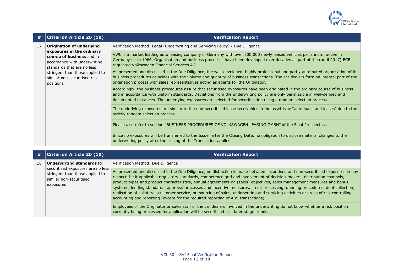

| #  | <b>Criterion Article 20 (10)</b>                                                                                                                                                                                                         | <b>Verification Report</b>                                                                                                                                                                                                                                                                                                                                                       |
|----|------------------------------------------------------------------------------------------------------------------------------------------------------------------------------------------------------------------------------------------|----------------------------------------------------------------------------------------------------------------------------------------------------------------------------------------------------------------------------------------------------------------------------------------------------------------------------------------------------------------------------------|
| 17 | <b>Origination of underlying</b><br>exposures in the ordinary<br>course of business and in<br>accordance with underwriting<br>standards that are no less<br>stringent than those applied to<br>similar non-securitised risk<br>positions | Verification Method: Legal (Underwriting and Servicing Policy) / Due Diligence                                                                                                                                                                                                                                                                                                   |
|    |                                                                                                                                                                                                                                          | VWL is a market leading auto leasing company in Germany with over 500,000 newly leased vehicles per annum, active in<br>Germany since 1966. Organisation and business processes have been developed over decades as part of the (until 2017) ECB<br>regulated Volkswagen Financial Services AG.                                                                                  |
|    |                                                                                                                                                                                                                                          | As presented and discussed in the Due Diligence, the well-developed, highly professional and partly automated organisation of its<br>business procedures coincides with the volume and quantity of business transactions. The car dealers form an integral part of the<br>origination process with sales representatives acting as agents for the Originator.                    |
|    |                                                                                                                                                                                                                                          | Accordingly, the business procedures assure that securitised exposures have been originated in the ordinary course of business<br>and in accordance with uniform standards. Deviations from the underwriting policy are only permissible in well-defined and<br>documented instances. The underlying exposures are selected for securitisation using a random selection process. |
|    |                                                                                                                                                                                                                                          | The underlying exposures are similar to the non-securitised lease receivables in the asset type "auto loans and leases" due to the<br>strictly random selection process.                                                                                                                                                                                                         |
|    |                                                                                                                                                                                                                                          | Please also refer to section "BUSINESS PROCEDURES OF VOLKSWAGEN LEASING GMBH" of the Final Prospectus.                                                                                                                                                                                                                                                                           |
|    |                                                                                                                                                                                                                                          | Since no exposures will be transferred to the Issuer after the Closing Date, no obligation to disclose material changes to the<br>underwriting policy after the closing of the Transaction applies.                                                                                                                                                                              |

|    | <b>Criterion Article 20 (10)</b>                                                                                                                  | <b>Verification Report</b>                                                                                                                                                                                                                                                                                                                                                                                                                                                                                                                                                                                                                                                                                                                                                                       |
|----|---------------------------------------------------------------------------------------------------------------------------------------------------|--------------------------------------------------------------------------------------------------------------------------------------------------------------------------------------------------------------------------------------------------------------------------------------------------------------------------------------------------------------------------------------------------------------------------------------------------------------------------------------------------------------------------------------------------------------------------------------------------------------------------------------------------------------------------------------------------------------------------------------------------------------------------------------------------|
| 18 | <b>Underwriting standards for</b><br>securitised exposures are no less<br>stringent than those applied to<br>similar non-securitised<br>exposures | Verification Method: Due Diligence<br>As presented and discussed in the Due Diligence, no distinction is made between securitised and non-securitised exposures in any<br>respect, be it applicable regulatory standards, competence grid and involvement of decision-makers, distribution channels,<br>product types and product characteristics, annual agreements on (sales) objectives, sales management measures and bonus<br>systems, lending standards, approval processes and incentive measures, credit processing, dunning procedures, debt collection,<br>realisation of collateral, customer service, outsourcing of sales, underwriting and servicing activities or areas of risk controlling,<br>accounting and reporting (except for the required reporting of ABS transactions). |
|    |                                                                                                                                                   | Employees of the Originator or sales staff of the car dealers involved in the underwriting do not know whether a risk position<br>currently being processed for application will be securitised at a later stage or not.                                                                                                                                                                                                                                                                                                                                                                                                                                                                                                                                                                         |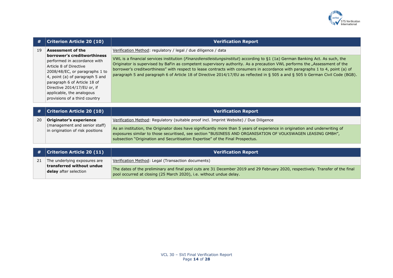

| #  | <b>Criterion Article 20 (10)</b>                                                                                                                                                                                                                                                                                    | <b>Verification Report</b>                                                                                                                                                                                                                                                                                                                                                                                                                                                                                                     |
|----|---------------------------------------------------------------------------------------------------------------------------------------------------------------------------------------------------------------------------------------------------------------------------------------------------------------------|--------------------------------------------------------------------------------------------------------------------------------------------------------------------------------------------------------------------------------------------------------------------------------------------------------------------------------------------------------------------------------------------------------------------------------------------------------------------------------------------------------------------------------|
| 19 | <b>Assessment of the</b><br>borrower's creditworthiness<br>performed in accordance with<br>Article 8 of Directive<br>2008/48/EC, or paragraphs 1 to<br>4, point (a) of paragraph 5 and<br>paragraph 6 of Article 18 of<br>Directive 2014/17/EU or, if<br>applicable, the analogous<br>provisions of a third country | Verification Method: regulatory / legal / due diligence / data                                                                                                                                                                                                                                                                                                                                                                                                                                                                 |
|    |                                                                                                                                                                                                                                                                                                                     | VWL is a financial services institution (Finanzdienstleistungsinstitut) according to §1 (1a) German Banking Act. As such, the<br>Originator is supervised by BaFin as competent supervisory authority. As a precaution VWL performs the "Assessment of the<br>borrower's creditworthiness" with respect to lease contracts with consumers in accordance with paragraphs 1 to 4, point (a) of<br>paragraph 5 and paragraph 6 of Article 18 of Directive 2014/17/EU as reflected in § 505 a and § 505 b German Civil Code (BGB). |
|    |                                                                                                                                                                                                                                                                                                                     |                                                                                                                                                                                                                                                                                                                                                                                                                                                                                                                                |
| #  | <b>Criterion Article 20 (10)</b>                                                                                                                                                                                                                                                                                    | <b>Verification Report</b>                                                                                                                                                                                                                                                                                                                                                                                                                                                                                                     |
| 20 | Originator's experience                                                                                                                                                                                                                                                                                             | Verification Method: Regulatory (suitable proof incl. Imprint Website) / Due Diligence                                                                                                                                                                                                                                                                                                                                                                                                                                         |
|    | (management and senior staff)<br>in origination of risk positions                                                                                                                                                                                                                                                   | As an institution, the Originator does have significantly more than 5 years of experience in origination and underwriting of<br>exposures similar to those securitised, see section "BUSINESS AND ORGANISATION OF VOLKSWAGEN LEASING GMBH",<br>subsection "Origination and Securitisation Expertise" of the Final Prospectus.                                                                                                                                                                                                  |
|    |                                                                                                                                                                                                                                                                                                                     |                                                                                                                                                                                                                                                                                                                                                                                                                                                                                                                                |
| #  | <b>Criterion Article 20 (11)</b>                                                                                                                                                                                                                                                                                    | <b>Verification Report</b>                                                                                                                                                                                                                                                                                                                                                                                                                                                                                                     |
| 21 | The underlying exposures are<br>transferred without undue                                                                                                                                                                                                                                                           | Verification Method: Legal (Transaction documents)                                                                                                                                                                                                                                                                                                                                                                                                                                                                             |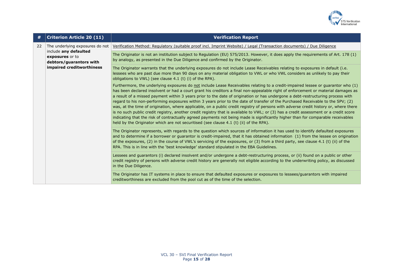

| #  | <b>Criterion Article 20 (11)</b>                                                                                                    | <b>Verification Report</b>                                                                                                                                                                                                                                                                                                                                                                                                                                                                                                                                                                                                                                                                                                                                                                                                                                                                                                                                                                                                                                  |
|----|-------------------------------------------------------------------------------------------------------------------------------------|-------------------------------------------------------------------------------------------------------------------------------------------------------------------------------------------------------------------------------------------------------------------------------------------------------------------------------------------------------------------------------------------------------------------------------------------------------------------------------------------------------------------------------------------------------------------------------------------------------------------------------------------------------------------------------------------------------------------------------------------------------------------------------------------------------------------------------------------------------------------------------------------------------------------------------------------------------------------------------------------------------------------------------------------------------------|
| 22 | The underlying exposures do not<br>include any defaulted<br>exposures or to<br>debtors/guarantors with<br>impaired creditworthiness | Verification Method: Regulatory (suitable proof incl. Imprint Website) / Legal (Transaction documents) / Due Diligence                                                                                                                                                                                                                                                                                                                                                                                                                                                                                                                                                                                                                                                                                                                                                                                                                                                                                                                                      |
|    |                                                                                                                                     | The Originator is not an institution subject to Regulation (EU) 575/2013. However, it does apply the requirements of Art. 178 (1)<br>by analogy, as presented in the Due Diligence and confirmed by the Originator.                                                                                                                                                                                                                                                                                                                                                                                                                                                                                                                                                                                                                                                                                                                                                                                                                                         |
|    |                                                                                                                                     | The Originator warrants that the underlying exposures do not include Lease Receivables relating to exposures in default (i.e.<br>lessees who are past due more than 90 days on any material obligation to VWL or who VWL considers as unlikely to pay their<br>obligations to VWL) (see clause 4.1 (t) (i) of the RPA).                                                                                                                                                                                                                                                                                                                                                                                                                                                                                                                                                                                                                                                                                                                                     |
|    |                                                                                                                                     | Furthermore, the underlying exposures do not include Lease Receivables relating to a credit-impaired lessee or guarantor who (1)<br>has been declared insolvent or had a court grant his creditors a final non-appealable right of enforcement or material damages as<br>a result of a missed payment within 3 years prior to the date of origination or has undergone a debt-restructuring process with<br>regard to his non-performing exposures within 3 years prior to the date of transfer of the Purchased Receivable to the SPV; (2)<br>was, at the time of origination, where applicable, on a public credit registry of persons with adverse credit history or, where there<br>is no such public credit registry, another credit registry that is available to VWL; or (3) has a credit assessment or a credit score<br>indicating that the risk of contractually agreed payments not being made is significantly higher than for comparable receivables<br>held by the Originator which are not securitised (see clause 4.1 (t) (ii) of the RPA). |
|    |                                                                                                                                     | The Originator represents, with regards to the question which sources of information it has used to identify defaulted exposures<br>and to determine if a borrower or guarantor is credit-impaired, that it has obtained information (1) from the lessee on origination<br>of the exposures, (2) in the course of VWL's servicing of the exposures, or (3) from a third party, see clause 4.1 (t) (ii) of the<br>RPA. This is in line with the 'best knowledge' standard stipulated in the EBA Guidelines.                                                                                                                                                                                                                                                                                                                                                                                                                                                                                                                                                  |
|    |                                                                                                                                     | Lessees and guarantors (i) declared insolvent and/or undergone a debt-restructuring process, or (ii) found on a public or other<br>credit registry of persons with adverse credit history are generally not eligible according to the underwriting policy, as discussed<br>in the Due Diligence.                                                                                                                                                                                                                                                                                                                                                                                                                                                                                                                                                                                                                                                                                                                                                            |
|    |                                                                                                                                     | The Originator has IT systems in place to ensure that defaulted exposures or exposures to lessees/guarantors with impaired<br>creditworthiness are excluded from the pool cut as of the time of the selection.                                                                                                                                                                                                                                                                                                                                                                                                                                                                                                                                                                                                                                                                                                                                                                                                                                              |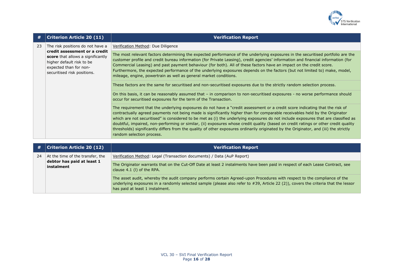

| #  | <b>Criterion Article 20 (11)</b>                                                                                                                                                             | <b>Verification Report</b>                                                                                                                                                                                                                                                                                                                                                                                                                                                                                                                                                                                                                                                                                     |
|----|----------------------------------------------------------------------------------------------------------------------------------------------------------------------------------------------|----------------------------------------------------------------------------------------------------------------------------------------------------------------------------------------------------------------------------------------------------------------------------------------------------------------------------------------------------------------------------------------------------------------------------------------------------------------------------------------------------------------------------------------------------------------------------------------------------------------------------------------------------------------------------------------------------------------|
| 23 | The risk positions do not have a<br>credit assessment or a credit<br>score that allows a significantly<br>higher default risk to be<br>expected than for non-<br>securitised risk positions. | Verification Method: Due Diligence                                                                                                                                                                                                                                                                                                                                                                                                                                                                                                                                                                                                                                                                             |
|    |                                                                                                                                                                                              | The most relevant factors determining the expected performance of the underlying exposures in the securitised portfolio are the<br>customer profile and credit bureau information (for Private Leasing), credit agencies' information and financial information (for<br>Commercial Leasing) and past payment behaviour (for both). All of these factors have an impact on the credit score.<br>Furthermore, the expected performance of the underlying exposures depends on the factors (but not limited to) make, model,<br>mileage, engine, powertrain as well as general market conditions.                                                                                                                 |
|    |                                                                                                                                                                                              | These factors are the same for securitised and non-securitised exposures due to the strictly random selection process.                                                                                                                                                                                                                                                                                                                                                                                                                                                                                                                                                                                         |
|    |                                                                                                                                                                                              | On this basis, it can be reasonably assumed that – in comparison to non-securitised exposures - no worse performance should<br>occur for securitised exposures for the term of the Transaction.                                                                                                                                                                                                                                                                                                                                                                                                                                                                                                                |
|    |                                                                                                                                                                                              | The requirement that the underlying exposures do not have a "credit assessment or a credit score indicating that the risk of<br>contractually agreed payments not being made is significantly higher than for comparable receivables held by the Originator<br>which are not securitised" is considered to be met as (i) the underlying exposures do not include exposures that are classified as<br>doubtful, impaired, non-performing or similar, (ii) exposures whose credit quality (based on credit ratings or other credit quality<br>thresholds) significantly differs from the quality of other exposures ordinarily originated by the Originator, and (iii) the strictly<br>random selection process. |

|    | <b>Criterion Article 20 (12)</b>                                             | <b>Verification Report</b>                                                                                                                                                                                                                                                                           |
|----|------------------------------------------------------------------------------|------------------------------------------------------------------------------------------------------------------------------------------------------------------------------------------------------------------------------------------------------------------------------------------------------|
| 24 | At the time of the transfer, the<br>debtor has paid at least 1<br>instalment | Verification Method: Legal (Transaction documents) / Data (AuP Report)                                                                                                                                                                                                                               |
|    |                                                                              | The Originator warrants that on the Cut-Off Date at least 2 instalments have been paid in respect of each Lease Contract, see<br>clause $4.1$ (I) of the RPA.                                                                                                                                        |
|    |                                                                              | The asset audit, whereby the audit company performs certain Agreed-upon Procedures with respect to the compliance of the<br>underlying exposures in a randomly selected sample (please also refer to $#39$ , Article 22 (2)), covers the criteria that the lessor<br>has paid at least 1 instalment. |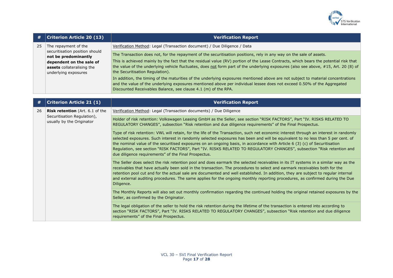

| #  | <b>Criterion Article 20 (13)</b>                       | <b>Verification Report</b>                                                                                                                                                                                                                                                                                                    |
|----|--------------------------------------------------------|-------------------------------------------------------------------------------------------------------------------------------------------------------------------------------------------------------------------------------------------------------------------------------------------------------------------------------|
| 25 | The repayment of the                                   | Verification Method: Legal (Transaction document) / Due Diligence / Data                                                                                                                                                                                                                                                      |
|    | securitisation position should<br>not be predominantly | The Transaction does not, for the repayment of the securitisation positions, rely in any way on the sale of assets.                                                                                                                                                                                                           |
|    | dependent on the sale of                               | This is achieved mainly by the fact that the residual value (RV) portion of the Lease Contracts, which bears the potential risk that<br>the value of the underlying vehicle fluctuates, does not form part of the underlying exposures (also see above, #15, Art. 20 (8) of                                                   |
|    | assets collateralising the<br>underlying exposures     | the Securitisation Regulation).                                                                                                                                                                                                                                                                                               |
|    |                                                        | In addition, the timing of the maturities of the underlying exposures mentioned above are not subject to material concentrations<br>and the value of the underlying exposures mentioned above per individual lessee does not exceed 0.50% of the Aggregated<br>Discounted Receivables Balance, see clause 4.1 (m) of the RPA. |

| #  | <b>Criterion Article 21 (1)</b>                          | <b>Verification Report</b>                                                                                                                                                                                                                                                                                                                                                                                                                                                                                                                                                              |
|----|----------------------------------------------------------|-----------------------------------------------------------------------------------------------------------------------------------------------------------------------------------------------------------------------------------------------------------------------------------------------------------------------------------------------------------------------------------------------------------------------------------------------------------------------------------------------------------------------------------------------------------------------------------------|
| 26 | <b>Risk retention</b> (Art. 6.1 of the                   | Verification Method: Legal (Transaction documents) / Due Diligence                                                                                                                                                                                                                                                                                                                                                                                                                                                                                                                      |
|    | Securitisation Regulation),<br>usually by the Originator | Holder of risk retention: Volkswagen Leasing GmbH as the Seller, see section "RISK FACTORS", Part "IV. RISKS RELATED TO<br>REGULATORY CHANGES", subsection "Risk retention and due diligence requirements" of the Final Prospectus.                                                                                                                                                                                                                                                                                                                                                     |
|    |                                                          | Type of risk retention: VWL will retain, for the life of the Transaction, such net economic interest through an interest in randomly<br>selected exposures. Such interest in randomly selected exposures has been and will be equivalent to no less than 5 per cent. of<br>the nominal value of the securitised exposures on an ongoing basis, in accordance with Article 6 (3) (c) of Securitisation<br>Regulation, see section "RISK FACTORS", Part "IV. RISKS RELATED TO REGULATORY CHANGES", subsection "Risk retention and<br>due diligence requirements" of the Final Prospectus. |
|    |                                                          | The Seller does select the risk retention pool and does earmark the selected receivables in its IT systems in a similar way as the<br>receivables that have actually been sold in the transaction. The procedures to select and earmark receivables both for the<br>retention pool cut and for the actual sale are documented and well established. In addition, they are subject to regular internal<br>and external auditing procedures. The same applies for the ongoing monthly reporting procedures, as confirmed during the Due<br>Diligence.                                     |
|    |                                                          | The Monthly Reports will also set out monthly confirmation regarding the continued holding the original retained exposures by the<br>Seller, as confirmed by the Originator.                                                                                                                                                                                                                                                                                                                                                                                                            |
|    |                                                          | The legal obligation of the seller to hold the risk retention during the lifetime of the transaction is entered into according to<br>section "RISK FACTORS", Part "IV. RISKS RELATED TO REGULATORY CHANGES", subsection "Risk retention and due diligence<br>requirements" of the Final Prospectus.                                                                                                                                                                                                                                                                                     |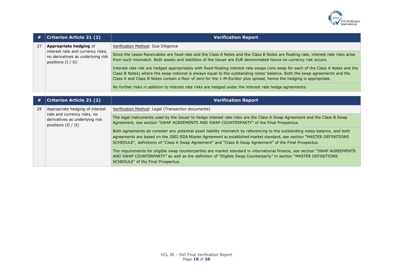

| #  | <b>Criterion Article 21 (2)</b>                                                                                                 | <b>Verification Report</b>                                                                                                                                                                                                                                                                                                                                                                |
|----|---------------------------------------------------------------------------------------------------------------------------------|-------------------------------------------------------------------------------------------------------------------------------------------------------------------------------------------------------------------------------------------------------------------------------------------------------------------------------------------------------------------------------------------|
| 27 | <b>Appropriate hedging of</b><br>interest rate and currency risks,<br>no derivatives as underlying risk<br>positions $(I / II)$ | Verification Method: Due Diligence                                                                                                                                                                                                                                                                                                                                                        |
|    |                                                                                                                                 | Since the Lease Receivables are fixed rate and the Class A Notes and the Class B Notes are floating rate, interest rate risks arise<br>from such mismatch. Both assets and liabilities of the Issuer are EUR denominated hence no currency risk occurs.                                                                                                                                   |
|    |                                                                                                                                 | Interest rate risk are hedged appropriately with fixed-floating interest rate swaps (one swap for each of the Class A Notes and the<br>Class B Notes) where the swap notional is always equal to the outstanding notes' balance. Both the swap agreements and the<br>Class A and Class B Notes contain a floor of zero for the 1-M-Euribor plus spread, hence the hedging is appropriate. |
|    |                                                                                                                                 | No further risks in addition to interest rate risks are hedged under the interest rate hedge agreements.                                                                                                                                                                                                                                                                                  |

| #  | <b>Criterion Article 21 (2)</b>                                                                                           | <b>Verification Report</b>                                                                                                                                                                                                                                                                                                                                         |
|----|---------------------------------------------------------------------------------------------------------------------------|--------------------------------------------------------------------------------------------------------------------------------------------------------------------------------------------------------------------------------------------------------------------------------------------------------------------------------------------------------------------|
| 28 | Appropriate hedging of interest<br>rate and currency risks, no<br>derivatives as underlying risk<br>positions $(II / II)$ | Verification Method: Legal (Transaction documents)                                                                                                                                                                                                                                                                                                                 |
|    |                                                                                                                           | The legal instruments used by the Issuer to hedge interest rate risks are the Class A Swap Agreement and the Class B Swap<br>Agreement, see section "SWAP AGREEMENTS AND SWAP COUNTERPARTY" of the Final Prospectus.                                                                                                                                               |
|    |                                                                                                                           | Both agreements do consider any potential asset liability mismatch by referencing to the outstanding notes balance, and both<br>agreements are based on the 2002 ISDA Master Agreement as established market standard, see section "MASTER DEFINITIONS<br>SCHEDULE", definitions of "Class A Swap Agreement" and "Class B Swap Agreement" of the Final Prospectus. |
|    |                                                                                                                           | The requirements for eligible swap counterparties are market standard in international finance, see section "SWAP AGREEMENTS<br>AND SWAP COUNTERPARTY" as well as the definition of "Eligible Swap Counterparty" in section "MASTER DEFINITIONS<br>SCHEDULE" of the Final Prospectus.                                                                              |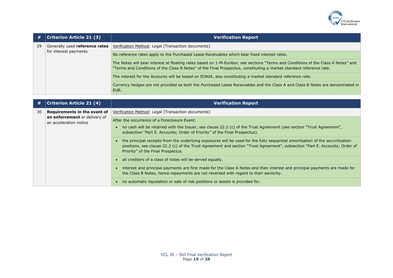

| #1 | <b>Criterion Article 21 (3)</b> | <b>Verification Report</b>                                                                                                                                                                                                                               |
|----|---------------------------------|----------------------------------------------------------------------------------------------------------------------------------------------------------------------------------------------------------------------------------------------------------|
| 29 | Generally used reference rates  | Verification Method: Legal (Transaction documents)                                                                                                                                                                                                       |
|    | for interest payments           | No reference rates apply to the Purchased Lease Receivables which bear fixed interest rates.                                                                                                                                                             |
|    |                                 | The Notes will bear interest at floating rates based on 1-M-Euribor, see sections "Terms and Conditions of the Class A Notes" and<br>"Terms and Conditions of the Class B Notes" of the Final Prospectus, constituting a market standard reference rate. |
|    |                                 | The interest for the Accounts will be based on EONIA, also constituting a market standard reference rate.                                                                                                                                                |
|    |                                 | Currency hedges are not provided as both the Purchased Lease Receivables and the Class A and Class B Notes are denominated in<br>EUR.                                                                                                                    |

| #  | <b>Criterion Article 21 (4)</b>                                                         | <b>Verification Report</b>                                                                                                                                                                                                                                                                                                                                                                                                                                                                                         |
|----|-----------------------------------------------------------------------------------------|--------------------------------------------------------------------------------------------------------------------------------------------------------------------------------------------------------------------------------------------------------------------------------------------------------------------------------------------------------------------------------------------------------------------------------------------------------------------------------------------------------------------|
| 30 | Requirements in the event of<br>an enforcement or delivery of<br>an acceleration notice | Verification Method: Legal (Transaction documents)                                                                                                                                                                                                                                                                                                                                                                                                                                                                 |
|    |                                                                                         | After the occurrence of a Foreclosure Event:<br>no cash will be retained with the Issuer, see clause 22.2 (c) of the Trust Agreement (see section "Trust Agreement",<br>subsection "Part E. Accounts; Order of Priority" of the Final Prospectus).<br>the principal receipts from the underlying exposures will be used for the fully sequential amortisation of the securitisation<br>positions, see clause 22.2 (c) of the Trust Agreement and section "Trust Agreement", subsection "Part E. Accounts; Order of |
|    |                                                                                         | Priority" of the Final Prospectus.<br>• all creditors of a class of notes will be served equally.                                                                                                                                                                                                                                                                                                                                                                                                                  |
|    |                                                                                         | interest and principal payments are first made for the Class A Notes and then interest and principal payments are made for<br>the Class B Notes, hence repayments are not reversed with regard to their seniority.                                                                                                                                                                                                                                                                                                 |
|    |                                                                                         | no automatic liquidation or sale of risk positions or assets is provided for.                                                                                                                                                                                                                                                                                                                                                                                                                                      |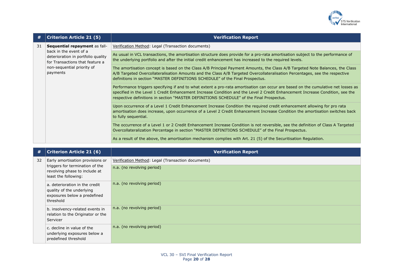

| #  | <b>Criterion Article 21 (5)</b>                                                                                                                                            | <b>Verification Report</b>                                                                                                                                                                                                                                                                                                                                     |
|----|----------------------------------------------------------------------------------------------------------------------------------------------------------------------------|----------------------------------------------------------------------------------------------------------------------------------------------------------------------------------------------------------------------------------------------------------------------------------------------------------------------------------------------------------------|
| 31 | Sequential repayment as fall-<br>back in the event of a<br>deterioration in portfolio quality<br>for Transactions that feature a<br>non-sequential priority of<br>payments | Verification Method: Legal (Transaction documents)                                                                                                                                                                                                                                                                                                             |
|    |                                                                                                                                                                            | As usual in VCL transactions, the amortisation structure does provide for a pro-rata amortisation subject to the performance of<br>the underlying portfolio and after the initial credit enhancement has increased to the required levels.                                                                                                                     |
|    |                                                                                                                                                                            | The amortisation concept is based on the Class A/B Principal Payment Amounts, the Class A/B Targeted Note Balances, the Class<br>A/B Targeted Overcollateralisation Amounts and the Class A/B Targeted Overcollateralisation Percentages, see the respective<br>definitions in section "MASTER DEFINITIONS SCHEDULE" of the Final Prospectus.                  |
|    |                                                                                                                                                                            | Performance triggers specifying if and to what extent a pro-rata amortisation can occur are based on the cumulative net losses as<br>specified in the Level 1 Credit Enhancement Increase Condition and the Level 2 Credit Enhancement Increase Condition, see the<br>respective definitions in section "MASTER DEFINITIONS SCHEDULE" of the Final Prospectus. |
|    |                                                                                                                                                                            | Upon occurrence of a Level 1 Credit Enhancement Increase Condition the required credit enhancement allowing for pro rata<br>amortisation does increase, upon occurrence of a Level 2 Credit Enhancement Increase Condition the amortisation switches back<br>to fully sequential.                                                                              |
|    |                                                                                                                                                                            | The occurrence of a Level 1 or 2 Credit Enhancement Increase Condition is not reversible, see the definition of Class A Targeted<br>Overcollateralization Percentage in section "MASTER DEFINITIONS SCHEDULE" of the Final Prospectus.                                                                                                                         |
|    |                                                                                                                                                                            | As a result of the above, the amortisation mechanism complies with Art. 21 (5) of the Securitisation Regulation.                                                                                                                                                                                                                                               |

| #  | <b>Criterion Article 21 (6)</b>                                                                                              | <b>Verification Report</b>                                                       |
|----|------------------------------------------------------------------------------------------------------------------------------|----------------------------------------------------------------------------------|
| 32 | Early amortisation provisions or<br>triggers for termination of the<br>revolving phase to include at<br>least the following: | Verification Method: Legal (Transaction documents)<br>n.a. (no revolving period) |
|    | a. deterioration in the credit<br>quality of the underlying<br>exposures below a predefined<br>threshold                     | n.a. (no revolving period)                                                       |
|    | b. insolvency-related events in<br>relation to the Originator or the<br>Servicer                                             | n.a. (no revolving period)                                                       |
|    | c. decline in value of the<br>underlying exposures below a<br>predefined threshold                                           | n.a. (no revolving period)                                                       |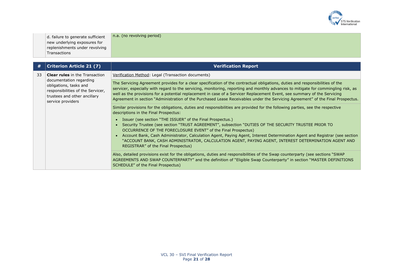

d. failure to generate sufficient new underlying exposures for replenishments under revolving Transactions

n.a. (no revolving period)

| #  | <b>Criterion Article 21 (7)</b>                                                                                                                                                      | <b>Verification Report</b>                                                                                                                                                                                                                                                                                                                                                                                                                                                                                                         |
|----|--------------------------------------------------------------------------------------------------------------------------------------------------------------------------------------|------------------------------------------------------------------------------------------------------------------------------------------------------------------------------------------------------------------------------------------------------------------------------------------------------------------------------------------------------------------------------------------------------------------------------------------------------------------------------------------------------------------------------------|
| 33 | <b>Clear rules</b> in the Transaction<br>documentation regarding<br>obligations, tasks and<br>responsibilities of the Servicer,<br>trustees and other ancillary<br>service providers | Verification Method: Legal (Transaction documents)                                                                                                                                                                                                                                                                                                                                                                                                                                                                                 |
|    |                                                                                                                                                                                      | The Servicing Agreement provides for a clear specification of the contractual obligations, duties and responsibilities of the<br>servicer, especially with regard to the servicing, monitoring, reporting and monthly advances to mitigate for commingling risk, as<br>well as the provisions for a potential replacement in case of a Servicer Replacement Event, see summary of the Servicing<br>Agreement in section "Administration of the Purchased Lease Receivables under the Servicing Agreement" of the Final Prospectus. |
|    |                                                                                                                                                                                      | Similar provisions for the obligations, duties and responsibilities are provided for the following parties, see the respective<br>descriptions in the Final Prospectus:                                                                                                                                                                                                                                                                                                                                                            |
|    |                                                                                                                                                                                      | • Issuer (see section "THE ISSUER" of the Final Prospectus.)<br>Security Trustee (see section "TRUST AGREEMENT", subsection "DUTIES OF THE SECURITY TRUSTEE PRIOR TO<br>OCCURRENCE OF THE FORECLOSURE EVENT" of the Final Prospectus)<br>Account Bank, Cash Administrator, Calculation Agent, Paying Agent, Interest Determination Agent and Registrar (see section                                                                                                                                                                |
|    |                                                                                                                                                                                      | "ACCOUNT BANK, CASH ADMINISTRATOR, CALCULATION AGENT, PAYING AGENT, INTEREST DETERMINATION AGENT AND<br>REGISTRAR" of the Final Prospectus)                                                                                                                                                                                                                                                                                                                                                                                        |
|    |                                                                                                                                                                                      | Also, detailed provisions exist for the obligations, duties and responsibilities of the Swap counterparty (see sections "SWAP<br>AGREEMENTS AND SWAP COUNTERPARTY" and the definition of "Eligible Swap Counterparty" in section "MASTER DEFINITIONS<br>SCHEDULE" of the Final Prospectus)                                                                                                                                                                                                                                         |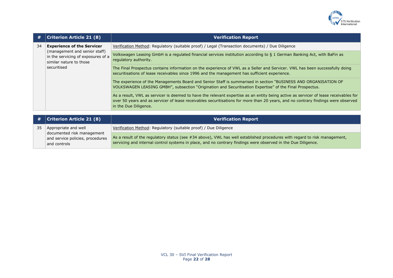

| #  | <b>Criterion Article 21 (8)</b>                                                                                                                    | <b>Verification Report</b>                                                                                                                                                                                                                                                                         |
|----|----------------------------------------------------------------------------------------------------------------------------------------------------|----------------------------------------------------------------------------------------------------------------------------------------------------------------------------------------------------------------------------------------------------------------------------------------------------|
| 34 | <b>Experience of the Servicer</b><br>(management and senior staff)<br>in the servicing of exposures of a<br>similar nature to those<br>securitised | Verification Method: Regulatory (suitable proof) / Legal (Transaction documents) / Due Diligence                                                                                                                                                                                                   |
|    |                                                                                                                                                    | Volkswagen Leasing GmbH is a regulated financial services institution according to § 1 German Banking Act, with BaFin as<br>regulatory authority.                                                                                                                                                  |
|    |                                                                                                                                                    | The Final Prospectus contains information on the experience of VWL as a Seller and Servicer. VWL has been successfully doing<br>securitisations of lease receivables since 1996 and the management has sufficient experience.                                                                      |
|    |                                                                                                                                                    | The experience of the Managements Board and Senior Staff is summarised in section "BUSINESS AND ORGANISATION OF<br>VOLKSWAGEN LEASING GMBH", subsection "Origination and Securitisation Expertise" of the Final Prospectus.                                                                        |
|    |                                                                                                                                                    | As a result, VWL as servicer is deemed to have the relevant expertise as an entity being active as servicer of lease receivables for<br>over 50 years and as servicer of lease receivables securitisations for more than 20 years, and no contrary findings were observed<br>in the Due Diligence. |
|    |                                                                                                                                                    |                                                                                                                                                                                                                                                                                                    |

|              | <b>Verification Report</b>                                                                                                |
|--------------|---------------------------------------------------------------------------------------------------------------------------|
|              | Verification Method: Regulatory (suitable proof) / Due Diligence                                                          |
|              |                                                                                                                           |
|              | As a result of the regulatory status (see #34 above), VWL has well established procedures with regard to risk management, |
| and controls | servicing and internal control systems in place, and no contrary findings were observed in the Due Diligence.             |
|              | $\#$ Criterion Article 21 (8)<br>Appropriate and well<br>documented risk management<br>and service policies, procedures   |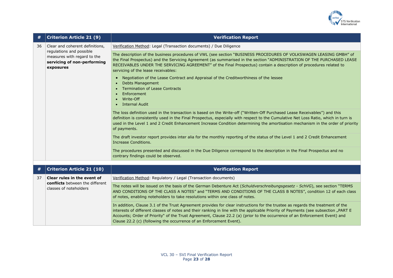

| #  | <b>Criterion Article 21 (9)</b>                                                                                                        | <b>Verification Report</b>                                                                                                                                                                                                                                                                                                                                                                                                                                                                                                                                                                  |
|----|----------------------------------------------------------------------------------------------------------------------------------------|---------------------------------------------------------------------------------------------------------------------------------------------------------------------------------------------------------------------------------------------------------------------------------------------------------------------------------------------------------------------------------------------------------------------------------------------------------------------------------------------------------------------------------------------------------------------------------------------|
| 36 | Clear and coherent definitions,<br>regulations and possible<br>measures with regard to the<br>servicing of non-performing<br>exposures | Verification Method: Legal (Transaction documents) / Due Diligence                                                                                                                                                                                                                                                                                                                                                                                                                                                                                                                          |
|    |                                                                                                                                        | The description of the business procedures of VWL (see section "BUSINESS PROCEDURES OF VOLKSWAGEN LEASING GMBH" of<br>the Final Prospectus) and the Servicing Agreement (as summarised in the section "ADMINISTRATION OF THE PURCHASED LEASE<br>RECEIVABLES UNDER THE SERVICING AGREEMENT" of the Final Prospectus) contain a description of procedures related to<br>servicing of the lease receivables:<br>Negotiation of the Lease Contract and Appraisal of the Creditworthiness of the lessee<br><b>Debts Management</b><br>Termination of Lease Contracts<br>Enforcement<br>Write-Off |
|    |                                                                                                                                        | <b>Internal Audit</b>                                                                                                                                                                                                                                                                                                                                                                                                                                                                                                                                                                       |
|    |                                                                                                                                        | The loss definition used in the transaction is based on the Write-off ("Written-Off Purchased Lease Receivables") and this<br>definition is consistently used in the Final Prospectus, especially with respect to the Cumulative Net Loss Ratio, which in turn is<br>used in the Level 1 and 2 Credit Enhancement Increase Condition determining the amortisation mechanism in the order of priority<br>of payments.                                                                                                                                                                        |
|    |                                                                                                                                        | The draft investor report provides inter alia for the monthly reporting of the status of the Level 1 and 2 Credit Enhancement<br><b>Increase Conditions.</b>                                                                                                                                                                                                                                                                                                                                                                                                                                |
|    |                                                                                                                                        | The procedures presented and discussed in the Due Diligence correspond to the description in the Final Prospectus and no<br>contrary findings could be observed.                                                                                                                                                                                                                                                                                                                                                                                                                            |
| #  | <b>Criterion Article 21 (10)</b>                                                                                                       | <b>Verification Report</b>                                                                                                                                                                                                                                                                                                                                                                                                                                                                                                                                                                  |
| 37 | Clear rules in the event of                                                                                                            | Verification Method: Regulatory / Legal (Transaction documents)                                                                                                                                                                                                                                                                                                                                                                                                                                                                                                                             |
|    | conflicts between the different<br>classes of noteholders                                                                              | The notes will be issued on the basis of the German Debenture Act (Schuldverschreibungsgesetz - SchVG), see section "TERMS<br>AND CONDITIONS OF THE CLASS A NOTES" and "TERMS AND CONDITIONS OF THE CLASS B NOTES", condition 12 of each class<br>of notes, enabling noteholders to take resolutions within one class of notes.                                                                                                                                                                                                                                                             |
|    |                                                                                                                                        | In addition, Clause 3.1 of the Trust Agreement provides for clear instructions for the trustee as regards the treatment of the<br>interests of different classes of notes and their ranking in line with the applicable Priority of Payments (see subsection "PART E<br>Accounts; Order of Priority" of the Trust Agreement, Clause 22.2 (a) (prior to the occurrence of an Enforcement Event) and<br>Clause 22.2 (c) (following the occurrence of an Enforcement Event).                                                                                                                   |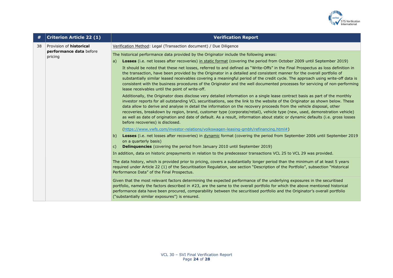

| #  | <b>Criterion Article 22 (1)</b>    | <b>Verification Report</b>                                                                                                                                                                                                                                                                                                                                                                                                                                                                                                                                                                                                                                                                 |
|----|------------------------------------|--------------------------------------------------------------------------------------------------------------------------------------------------------------------------------------------------------------------------------------------------------------------------------------------------------------------------------------------------------------------------------------------------------------------------------------------------------------------------------------------------------------------------------------------------------------------------------------------------------------------------------------------------------------------------------------------|
| 38 | Provision of <b>historical</b>     | Verification Method: Legal (Transaction document) / Due Diligence                                                                                                                                                                                                                                                                                                                                                                                                                                                                                                                                                                                                                          |
|    | performance data before<br>pricing | The historical performance data provided by the Originator include the following areas:<br>Losses (i.e. net losses after recoveries) in static format (covering the period from October 2009 until September 2019)<br>a)                                                                                                                                                                                                                                                                                                                                                                                                                                                                   |
|    |                                    | It should be noted that these net losses, referred to and defined as "Write-Offs" in the Final Prospectus as loss definition in<br>the transaction, have been provided by the Originator in a detailed and consistent manner for the overall portfolio of<br>substantially similar leased receivables covering a meaningful period of the credit cycle. The approach using write-off data is<br>consistent with the business procedures of the Originator and the well documented processes for servicing of non-performing<br>lease receivables until the point of write-off.                                                                                                             |
|    |                                    | Additionally, the Originator does disclose very detailed information on a single lease contract basis as part of the monthly<br>investor reports for all outstanding VCL securitisations, see the link to the website of the Originator as shown below. These<br>data allow to derive and analyse in detail the information on the recovery proceeds from the vehicle disposal, other<br>recoveries, breakdown by region, brand, customer type (corporate/retail), vehicle type (new, used, demonstration vehicle)<br>as well as date of origination and date of default. As a result, information about static or dynamic defaults (i.e. gross losses<br>before recoveries) is disclosed. |
|    |                                    | (https://www.vwfs.com/investor-relations/volkswagen-leasing-gmbh/refinancing.html#)                                                                                                                                                                                                                                                                                                                                                                                                                                                                                                                                                                                                        |
|    |                                    | Losses (i.e. net losses after recoveries) in dynamic format (covering the period from September 2006 until September 2019<br>b)<br>on a quarterly basis)                                                                                                                                                                                                                                                                                                                                                                                                                                                                                                                                   |
|    |                                    | <b>Delinquencies</b> (covering the period from January 2010 until September 2019)<br>C)                                                                                                                                                                                                                                                                                                                                                                                                                                                                                                                                                                                                    |
|    |                                    | In addition, data on historic prepayments in relation to the predecessor transactions VCL 25 to VCL 29 was provided.                                                                                                                                                                                                                                                                                                                                                                                                                                                                                                                                                                       |
|    |                                    | The data history, which is provided prior to pricing, covers a substantially longer period than the minimum of at least 5 years<br>required under Article 22 (1) of the Securitisation Regulation, see section "Description of the Portfolio", subsection "Historical<br>Performance Data" of the Final Prospectus.                                                                                                                                                                                                                                                                                                                                                                        |
|    |                                    | Given that the most relevant factors determining the expected performance of the underlying exposures in the securitised<br>portfolio, namely the factors described in #23, are the same to the overall portfolio for which the above mentioned historical<br>performance data have been procured, comparability between the securitised portfolio and the Originator's overall portfolio<br>("substantially similar exposures") is ensured.                                                                                                                                                                                                                                               |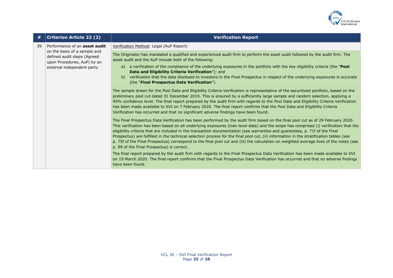

| #  | <b>Criterion Article 22 (2)</b>                                                                                                                                  | <b>Verification Report</b>                                                                                                                                                                                                                                                                                                                                                                                                                                                                                                                                                                                                                                                                                                                |
|----|------------------------------------------------------------------------------------------------------------------------------------------------------------------|-------------------------------------------------------------------------------------------------------------------------------------------------------------------------------------------------------------------------------------------------------------------------------------------------------------------------------------------------------------------------------------------------------------------------------------------------------------------------------------------------------------------------------------------------------------------------------------------------------------------------------------------------------------------------------------------------------------------------------------------|
| 39 | Performance of an <b>asset audit</b><br>on the basis of a sample and<br>defined audit steps (Agreed<br>upon Procedures, AuP) by an<br>external independent party | Verification Method: Legal (AuP Report)                                                                                                                                                                                                                                                                                                                                                                                                                                                                                                                                                                                                                                                                                                   |
|    |                                                                                                                                                                  | The Originator has mandated a qualified and experienced audit firm to perform the asset audit followed by the audit firm. The<br>asset audit and the AuP include both of the following:                                                                                                                                                                                                                                                                                                                                                                                                                                                                                                                                                   |
|    |                                                                                                                                                                  | a) a verification of the compliance of the underlying exposures in the portfolio with the key eligibility criteria (the "Pool<br>Data and Eligibility Criteria Verification"); and                                                                                                                                                                                                                                                                                                                                                                                                                                                                                                                                                        |
|    |                                                                                                                                                                  | verification that the data disclosed to investors in the Final Prospectus in respect of the underlying exposures is accurate<br>b)<br>(the "Final Prospectus Data Verification").                                                                                                                                                                                                                                                                                                                                                                                                                                                                                                                                                         |
|    |                                                                                                                                                                  | The sample drawn for the Pool Data and Eligibility Criteria Verification is representative of the securitised portfolio, based on the<br>preliminary pool cut dated 31 December 2019. This is ensured by a sufficiently large sample and random selection, applying a<br>95% confidence level. The final report prepared by the audit firm with regards to the Pool Data and Eligibility Criteria Verification<br>has been made available to SVI on 7 February 2020. The final report confirms that the Pool Data and Eligibility Criteria<br>Verification has occurred and that no significant adverse findings have been found.                                                                                                         |
|    |                                                                                                                                                                  | The Final Prospectus Data Verification has been performed by the audit firm based on the final pool cut as of 29 February 2020.<br>This verification has been based on all underlying exposures (loan level data) and the scope has comprised (i) verification that the<br>eligibility criteria that are included in the transaction documentation (see warranties and guarantees, p. 71f of the Final<br>Prospectus) are fulfilled in the technical selection process for the final pool cut, (ii) information in the stratification tables (see<br>p. 75f of the Final Prospectus) correspond to the final pool cut and (iii) the calculation on weighted average lives of the notes (see<br>p. 99 of the Final Prospectus) is correct. |
|    |                                                                                                                                                                  | The final report prepared by the audit firm with regards to the Final Prospectus Data Verification has been made available to SVI<br>on 19 March 2020. The final report confirms that the Final Prospectus Data Verification has occurred and that no adverse findings<br>have been found.                                                                                                                                                                                                                                                                                                                                                                                                                                                |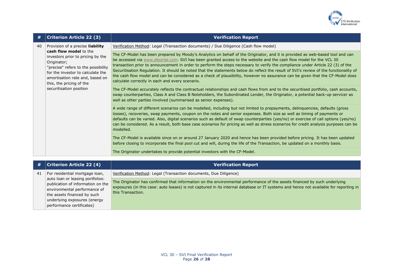

| #  | <b>Criterion Article 22 (3)</b>                                                                                                                                                                                                                                                      | <b>Verification Report</b>                                                                                                                                                                                                                                                                                                                                                                                                                                                                                                                                                                                                                                                                                           |
|----|--------------------------------------------------------------------------------------------------------------------------------------------------------------------------------------------------------------------------------------------------------------------------------------|----------------------------------------------------------------------------------------------------------------------------------------------------------------------------------------------------------------------------------------------------------------------------------------------------------------------------------------------------------------------------------------------------------------------------------------------------------------------------------------------------------------------------------------------------------------------------------------------------------------------------------------------------------------------------------------------------------------------|
| 40 | Provision of a precise liability<br>cash flow model to the<br>investors prior to pricing by the<br>Originator;<br>"precise" refers to the possibility<br>for the investor to calculate the<br>amortisation rate and, based on<br>this, the pricing of the<br>securitisation position | Verification Method: Legal (Transaction documents) / Due Diligence (Cash flow model)                                                                                                                                                                                                                                                                                                                                                                                                                                                                                                                                                                                                                                 |
|    |                                                                                                                                                                                                                                                                                      | The CF-Model has been prepared by Moody's Analytics on behalf of the Originator, and it is provided as web-based tool and can<br>be accessed via www.sfportal.com. SVI has been granted access to the website and the cash flow model for the VCL 30<br>transaction prior to announcement in order to perform the steps necessary to verify the compliance under Article 22 (3) of the<br>Securitisation Regulation. It should be noted that the statements below do reflect the result of SVI's review of the functionality of<br>the cash flow model and can be considered as a check of plausibility, however no assurance can be given that the CF-Model does<br>calculate correctly in each and every scenario. |
|    |                                                                                                                                                                                                                                                                                      | The CF-Model accurately reflects the contractual relationships and cash flows from and to the securitised portfolio, cash accounts,<br>swap counterparties, Class A and Class B Noteholders, the Subordinated Lender, the Originator, a potential back-up servicer as<br>well as other parties involved (summarised as senior expenses).                                                                                                                                                                                                                                                                                                                                                                             |
|    |                                                                                                                                                                                                                                                                                      | A wide range of different scenarios can be modelled, including but not limited to prepayments, delinguencies, defaults (gross<br>losses), recoveries, swap payments, coupon on the notes and senior expenses. Both size as well as timing of payments or<br>defaults can be varied. Also, digital scenarios such as default of swap counterparties (yes/no) or exercise of call options (yes/no)<br>can be considered. As a result, both base case scenarios for pricing as well as stress scenarios for credit analysis purposes can be<br>modelled.                                                                                                                                                                |
|    |                                                                                                                                                                                                                                                                                      | The CF-Model is available since on or around 27 January 2020 and hence has been provided before pricing. It has been updated<br>before closing to incorporate the final pool cut and will, during the life of the Transaction, be updated on a monthly basis.                                                                                                                                                                                                                                                                                                                                                                                                                                                        |
|    |                                                                                                                                                                                                                                                                                      | The Originator undertakes to provide potential investors with the CF-Model.                                                                                                                                                                                                                                                                                                                                                                                                                                                                                                                                                                                                                                          |

| #  | <b>Criterion Article 22 (4)</b>                                                                                                                                                                   | <b>Verification Report</b>                                                                                                                                                                                                                                                             |
|----|---------------------------------------------------------------------------------------------------------------------------------------------------------------------------------------------------|----------------------------------------------------------------------------------------------------------------------------------------------------------------------------------------------------------------------------------------------------------------------------------------|
| 41 | For residential mortgage loan,                                                                                                                                                                    | Verification Method: Legal (Transaction documents, Due Diligence)                                                                                                                                                                                                                      |
|    | auto loan or leasing portfolios:<br>publication of information on the<br>environmental performance of<br>the assets financed by such<br>underlying exposures (energy<br>performance certificates) | The Originator has confirmed that information on the environmental performance of the assets financed by such underlying<br>exposures (in this case: auto leases) is not captured in its internal database or IT systems and hence not available for reporting in<br>this Transaction. |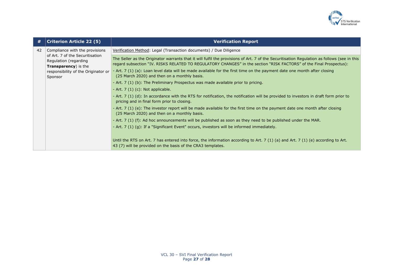

| #  | <b>Criterion Article 22 (5)</b>                                                                                                            | <b>Verification Report</b>                                                                                                                                                                                                                                                                                                                                                                                                                                                                                                                                                                                                                                                                                                                                                                                                                                                                                                                                                                                                                                                                                                                                                                                                                                                                                                                                      |
|----|--------------------------------------------------------------------------------------------------------------------------------------------|-----------------------------------------------------------------------------------------------------------------------------------------------------------------------------------------------------------------------------------------------------------------------------------------------------------------------------------------------------------------------------------------------------------------------------------------------------------------------------------------------------------------------------------------------------------------------------------------------------------------------------------------------------------------------------------------------------------------------------------------------------------------------------------------------------------------------------------------------------------------------------------------------------------------------------------------------------------------------------------------------------------------------------------------------------------------------------------------------------------------------------------------------------------------------------------------------------------------------------------------------------------------------------------------------------------------------------------------------------------------|
| 42 | Compliance with the provisions                                                                                                             | Verification Method: Legal (Transaction documents) / Due Diligence                                                                                                                                                                                                                                                                                                                                                                                                                                                                                                                                                                                                                                                                                                                                                                                                                                                                                                                                                                                                                                                                                                                                                                                                                                                                                              |
|    | of Art. 7 of the Securitisation<br>Regulation (regarding<br><b>Transparency</b> ) is the<br>responsibility of the Originator or<br>Sponsor | The Seller as the Originator warrants that it will fulfil the provisions of Art. 7 of the Securitisation Regulation as follows (see in this<br>regard subsection "IV. RISKS RELATED TO REGULATORY CHANGES" in the section "RISK FACTORS" of the Final Prospectus):<br>- Art. 7 (1) (a): Loan level data will be made available for the first time on the payment date one month after closing<br>(25 March 2020) and then on a monthly basis.<br>- Art. 7 (1) (b): The Preliminary Prospectus was made available prior to pricing.<br>- Art. $7(1)(c)$ : Not applicable.<br>- Art. 7 (1) (d): In accordance with the RTS for notification, the notification will be provided to investors in draft form prior to<br>pricing and in final form prior to closing.<br>- Art. 7 (1) (e): The investor report will be made available for the first time on the payment date one month after closing<br>(25 March 2020) and then on a monthly basis.<br>- Art. 7 (1) (f): Ad hoc announcements will be published as soon as they need to be published under the MAR.<br>- Art. 7 (1) (g): If a "Significant Event" occurs, investors will be informed immediately.<br>Until the RTS on Art. 7 has entered into force, the information according to Art. 7 (1) (a) and Art. 7 (1) (e) according to Art.<br>43 (7) will be provided on the basis of the CRA3 templates. |